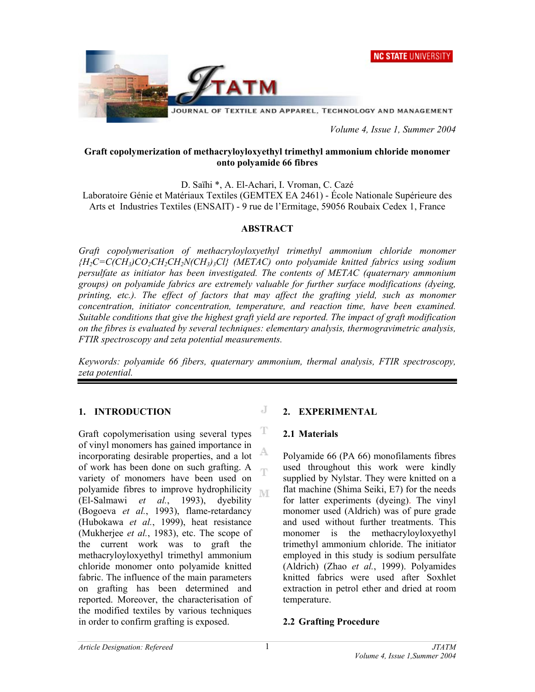



 *Volume 4, Issue 1, Summer 2004* 

### **Graft copolymerization of methacryloyloxyethyl trimethyl ammonium chloride monomer onto polyamide 66 fibres**

D. Saïhi \*, A. El-Achari, I. Vroman, C. Cazé

Laboratoire Génie et Matériaux Textiles (GEMTEX EA 2461) - École Nationale Supérieure des Arts et Industries Textiles (ENSAIT) - 9 rue de l'Ermitage, 59056 Roubaix Cedex 1, France

### **ABSTRACT**

*Graft copolymerisation of methacryloyloxyethyl trimethyl ammonium chloride monomer {H2C=C(CH3)CO2CH2CH2N(CH3)3Cl} (METAC) onto polyamide knitted fabrics using sodium persulfate as initiator has been investigated. The contents of METAC (quaternary ammonium groups) on polyamide fabrics are extremely valuable for further surface modifications (dyeing, printing, etc.). The effect of factors that may affect the grafting yield, such as monomer concentration, initiator concentration, temperature, and reaction time, have been examined. Suitable conditions that give the highest graft yield are reported. The impact of graft modification on the fibres is evaluated by several techniques: elementary analysis, thermogravimetric analysis, FTIR spectroscopy and zeta potential measurements.* 

*Keywords: polyamide 66 fibers, quaternary ammonium, thermal analysis, FTIR spectroscopy, zeta potential.*

J

### **1. INTRODUCTION**

T Graft copolymerisation using several types of vinyl monomers has gained importance in A incorporating desirable properties, and a lot of work has been done on such grafting. A ηñ variety of monomers have been used on polyamide fibres to improve hydrophilicity **IVE** (El-Salmawi *et al.*, 1993), dyebility (Bogoeva *et al.*, 1993), flame-retardancy (Hubokawa *et al.*, 1999), heat resistance (Mukherjee *et al.*, 1983), etc. The scope of the current work was to graft the methacryloyloxyethyl trimethyl ammonium chloride monomer onto polyamide knitted fabric. The influence of the main parameters on grafting has been determined and reported. Moreover, the characterisation of the modified textiles by various techniques in order to confirm grafting is exposed.

### **2. EXPERIMENTAL**

### **2.1 Materials**

Polyamide 66 (PA 66) monofilaments fibres used throughout this work were kindly supplied by Nylstar. They were knitted on a flat machine (Shima Seiki, E7) for the needs for latter experiments (dyeing). The vinyl monomer used (Aldrich) was of pure grade and used without further treatments. This monomer is the methacryloyloxyethyl trimethyl ammonium chloride. The initiator employed in this study is sodium persulfate (Aldrich) (Zhao *et al.*, 1999). Polyamides knitted fabrics were used after Soxhlet extraction in petrol ether and dried at room temperature.

### **2.2 Grafting Procedure**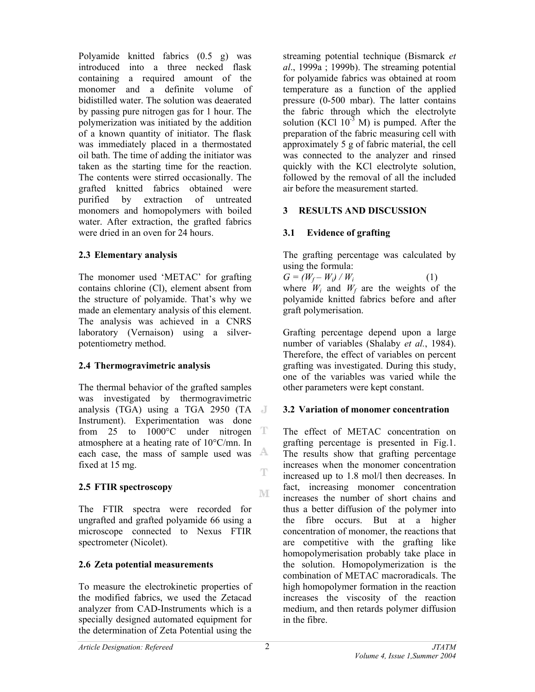Polyamide knitted fabrics (0.5 g) was introduced into a three necked flask containing a required amount of the monomer and a definite volume of bidistilled water. The solution was deaerated by passing pure nitrogen gas for 1 hour. The polymerization was initiated by the addition of a known quantity of initiator. The flask was immediately placed in a thermostated oil bath. The time of adding the initiator was taken as the starting time for the reaction. The contents were stirred occasionally. The grafted knitted fabrics obtained were purified by extraction of untreated monomers and homopolymers with boiled water. After extraction, the grafted fabrics were dried in an oven for 24 hours.

# **2.3 Elementary analysis**

The monomer used 'METAC' for grafting contains chlorine (Cl), element absent from the structure of polyamide. That's why we made an elementary analysis of this element. The analysis was achieved in a CNRS laboratory (Vernaison) using a silverpotentiometry method.

# **2.4 Thermogravimetric analysis**

The thermal behavior of the grafted samples was investigated by thermogravimetric analysis (TGA) using a TGA 2950 (TA Instrument). Experimentation was done from 25 to 1000°C under nitrogen T atmosphere at a heating rate of 10°C/mn. In A each case, the mass of sample used was fixed at 15 mg.  $\mathbb T$ 

# **2.5 FTIR spectroscopy**

The FTIR spectra were recorded for ungrafted and grafted polyamide 66 using a microscope connected to Nexus FTIR spectrometer (Nicolet).

# **2.6 Zeta potential measurements**

To measure the electrokinetic properties of the modified fabrics, we used the Zetacad analyzer from CAD-Instruments which is a specially designed automated equipment for the determination of Zeta Potential using the

streaming potential technique (Bismarck *et al*., 1999a ; 1999b). The streaming potential for polyamide fabrics was obtained at room temperature as a function of the applied pressure (0-500 mbar). The latter contains the fabric through which the electrolyte solution (KCl  $10^{-3}$  M) is pumped. After the preparation of the fabric measuring cell with approximately 5 g of fabric material, the cell was connected to the analyzer and rinsed quickly with the KCl electrolyte solution, followed by the removal of all the included air before the measurement started.

# **3 RESULTS AND DISCUSSION**

# **3.1 Evidence of grafting**

The grafting percentage was calculated by using the formula:

 $G = (W_f - W_i) / W_i$  (1) where  $W_i$  and  $W_f$  are the weights of the polyamide knitted fabrics before and after graft polymerisation.

Grafting percentage depend upon a large number of variables (Shalaby *et al.*, 1984). Therefore, the effect of variables on percent grafting was investigated. During this study, one of the variables was varied while the other parameters were kept constant.

# **3.2 Variation of monomer concentration**

The effect of METAC concentration on grafting percentage is presented in Fig.1. The results show that grafting percentage increases when the monomer concentration increased up to 1.8 mol/l then decreases. In fact, increasing monomer concentration increases the number of short chains and thus a better diffusion of the polymer into the fibre occurs. But at a higher concentration of monomer, the reactions that are competitive with the grafting like homopolymerisation probably take place in the solution. Homopolymerization is the combination of METAC macroradicals. The high homopolymer formation in the reaction increases the viscosity of the reaction medium, and then retards polymer diffusion in the fibre.

M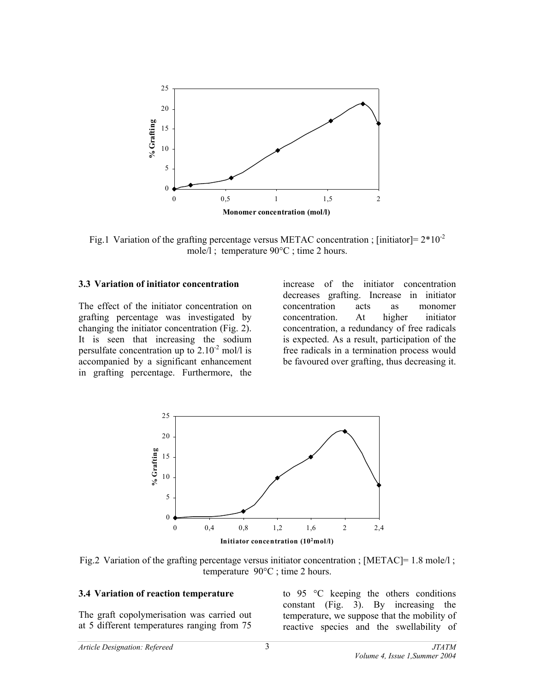

Fig.1 Variation of the grafting percentage versus METAC concentration ; [initiator] =  $2*10^{-2}$ mole/l ; temperature 90°C ; time 2 hours.

### **3.3 Variation of initiator concentration**

The effect of the initiator concentration on grafting percentage was investigated by changing the initiator concentration (Fig. 2). It is seen that increasing the sodium persulfate concentration up to  $2.10^{-2}$  mol/l is accompanied by a significant enhancement in grafting percentage. Furthermore, the increase of the initiator concentration decreases grafting. Increase in initiator concentration acts as monomer concentration. At higher initiator concentration, a redundancy of free radicals is expected. As a result, participation of the free radicals in a termination process would be favoured over grafting, thus decreasing it.



Fig.2 Variation of the grafting percentage versus initiator concentration ; [METAC]= 1.8 mole/l ; temperature 90°C ; time 2 hours.

#### **3.4 Variation of reaction temperature**

The graft copolymerisation was carried out at 5 different temperatures ranging from 75

to 95 °C keeping the others conditions constant (Fig. 3). By increasing the temperature, we suppose that the mobility of reactive species and the swellability of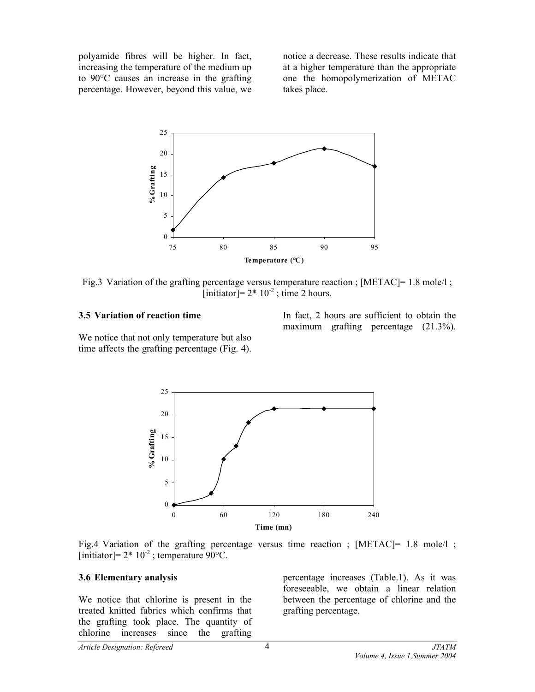polyamide fibres will be higher. In fact, increasing the temperature of the medium up to 90°C causes an increase in the grafting percentage. However, beyond this value, we

notice a decrease. These results indicate that at a higher temperature than the appropriate one the homopolymerization of METAC takes place.



Fig.3 Variation of the grafting percentage versus temperature reaction ; [METAC]= 1.8 mole/l ; [initiator]=  $2 \times 10^{-2}$ ; time 2 hours.

#### **3.5 Variation of reaction time**

In fact, 2 hours are sufficient to obtain the maximum grafting percentage (21.3%).

We notice that not only temperature but also time affects the grafting percentage (Fig. 4).



Fig.4 Variation of the grafting percentage versus time reaction ; [METAC] = 1.8 mole/l ; [initiator]=  $2*10^{-2}$ ; temperature  $90^{\circ}$ C.

### **3.6 Elementary analysis**

We notice that chlorine is present in the treated knitted fabrics which confirms that the grafting took place. The quantity of chlorine increases since the grafting

percentage increases (Table.1). As it was foreseeable, we obtain a linear relation between the percentage of chlorine and the grafting percentage.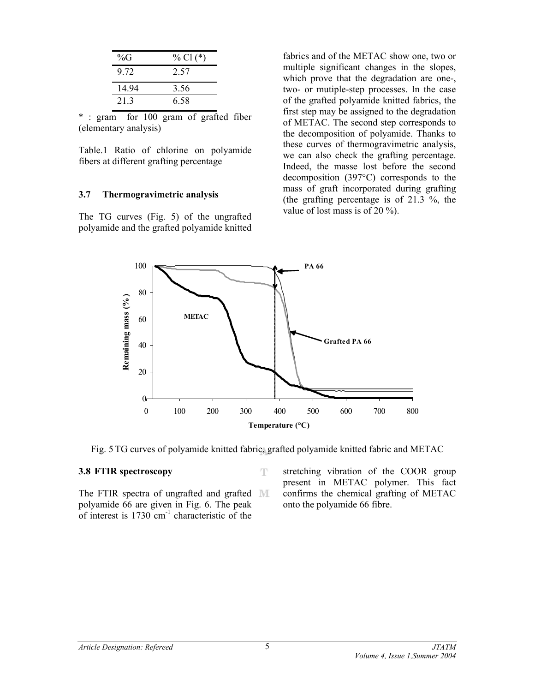| % $G$ | % Cl $(*)$ |
|-------|------------|
| 9 72  | 2.57       |
| 14.94 | 3.56       |
| 213   | 6.58       |

\* : gram for 100 gram of grafted fiber (elementary analysis)

Table.1 Ratio of chlorine on polyamide fibers at different grafting percentage

#### **3.7 Thermogravimetric analysis**

The TG curves (Fig. 5) of the ungrafted polyamide and the grafted polyamide knitted fabrics and of the METAC show one, two or multiple significant changes in the slopes, which prove that the degradation are one-, two- or mutiple-step processes. In the case of the grafted polyamide knitted fabrics, the first step may be assigned to the degradation of METAC. The second step corresponds to the decomposition of polyamide. Thanks to these curves of thermogravimetric analysis, we can also check the grafting percentage. Indeed, the masse lost before the second decomposition (397°C) corresponds to the mass of graft incorporated during grafting (the grafting percentage is of 21.3 %, the value of lost mass is of 20 %).



Fig. 5 TG curves of polyamide knitted fabric, grafted polyamide knitted fabric and METAC

T

### **3.8 FTIR spectroscopy**

The FTIR spectra of ungrafted and grafted MI polyamide 66 are given in Fig. 6. The peak of interest is  $1730 \text{ cm}^{-1}$  characteristic of the

stretching vibration of the COOR group present in METAC polymer. This fact confirms the chemical grafting of METAC onto the polyamide 66 fibre.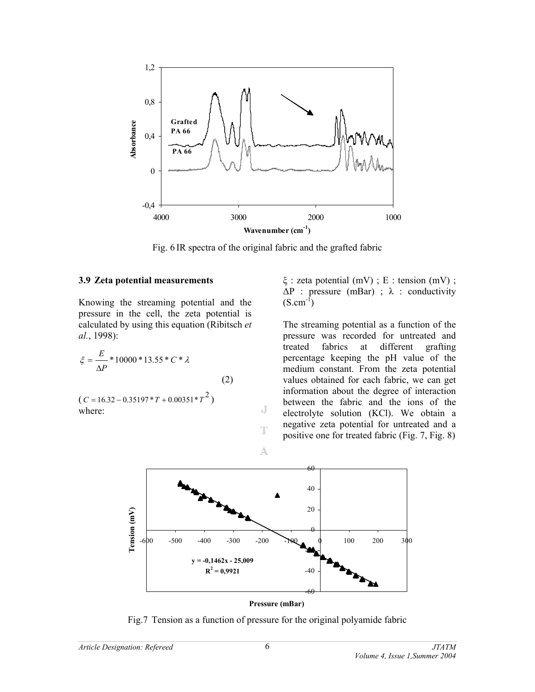

Fig. 6 IR spectra of the original fabric and the grafted fabric

#### **3.9 Zeta potential measurements**

Knowing the streaming potential and the pressure in the cell, the zeta potential is calculated by using this equation (Ribitsch *et al.*, 1998):

$$
\xi = \frac{E}{\Delta P} * 10000 * 13.55 * C * \lambda
$$
\n(2)

 $(C = 16.32 - 0.35197 * T + 0.00351 * T<sup>2</sup>)$ where:

ξ : zeta potential (mV) ; E : tension (mV) ;  $\Delta P$  : pressure (mBar) ;  $\lambda$  : conductivity  $(S.cm^{-1})$ 

The streaming potential as a function of the pressure was recorded for untreated and treated fabrics at different grafting percentage keeping the pH value of the medium constant. From the zeta potential values obtained for each fabric, we can get information about the degree of interaction between the fabric and the ions of the electrolyte solution (KCl). We obtain a negative zeta potential for untreated and a positive one for treated fabric (Fig. 7, Fig. 8)



 $\overline{d}$ 

T

A



Fig.7 Tension as a function of pressure for the original polyamide fabric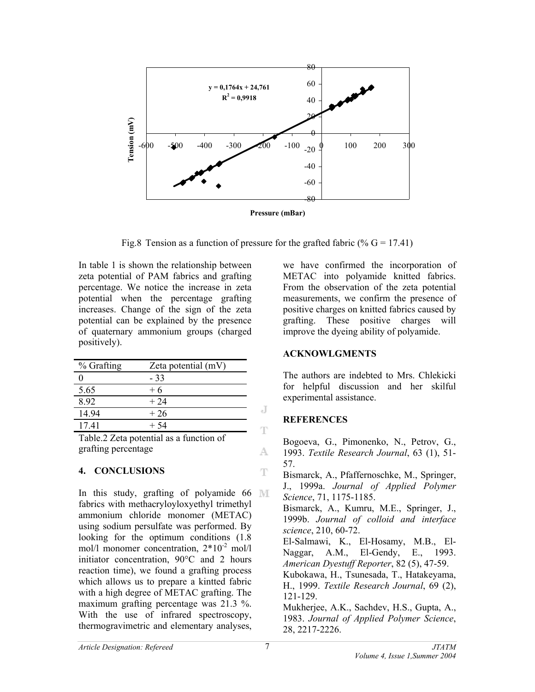

Fig.8 Tension as a function of pressure for the grafted fabric (%  $G = 17.41$ )

J

T

A.

 $\mathbb T$ 

In table 1 is shown the relationship between zeta potential of PAM fabrics and grafting percentage. We notice the increase in zeta potential when the percentage grafting increases. Change of the sign of the zeta potential can be explained by the presence of quaternary ammonium groups (charged positively).

| % Grafting | Zeta potential (mV) |
|------------|---------------------|
|            | - 33                |
| 5.65       | $+6$                |
| 892        | $+24$               |
| 14 94      | $+26$               |
| 1741       | $+54$               |

Table.2 Zeta potential as a function of grafting percentage

# **4. CONCLUSIONS**

In this study, grafting of polyamide  $66$  M fabrics with methacryloyloxyethyl trimethyl ammonium chloride monomer (METAC) using sodium persulfate was performed. By looking for the optimum conditions  $(1.8)$ mol/l monomer concentration,  $2*10^{-2}$  mol/l initiator concentration, 90°C and 2 hours reaction time), we found a grafting process which allows us to prepare a kintted fabric with a high degree of METAC grafting. The maximum grafting percentage was 21.3 %. With the use of infrared spectroscopy, thermogravimetric and elementary analyses,

we have confirmed the incorporation of METAC into polyamide knitted fabrics. From the observation of the zeta potential measurements, we confirm the presence of positive charges on knitted fabrics caused by grafting. These positive charges will improve the dyeing ability of polyamide.

# **ACKNOWLGMENTS**

The authors are indebted to Mrs. Chlekicki for helpful discussion and her skilful experimental assistance.

# **REFERENCES**

28, 2217-2226.

Bogoeva, G., Pimonenko, N., Petrov, G., 1993. *Textile Research Journal*, 63 (1), 51- 57.

Bismarck, A., Pfaffernoschke, M., Springer, J., 1999a. *Journal of Applied Polymer Science*, 71, 1175-1185. Bismarck, A., Kumru, M.E., Springer, J., 1999b. *Journal of colloid and interface science*, 210, 60-72. El-Salmawi, K., El-Hosamy, M.B., El-Naggar, A.M., El-Gendy, E., 1993. *American Dyestuff Reporter*, 82 (5), 47-59. Kubokawa, H., Tsunesada, T., Hatakeyama, H., 1999. *Textile Research Journal*, 69 (2), 121-129. Mukherjee, A.K., Sachdev, H.S., Gupta, A., 1983. *Journal of Applied Polymer Science*,